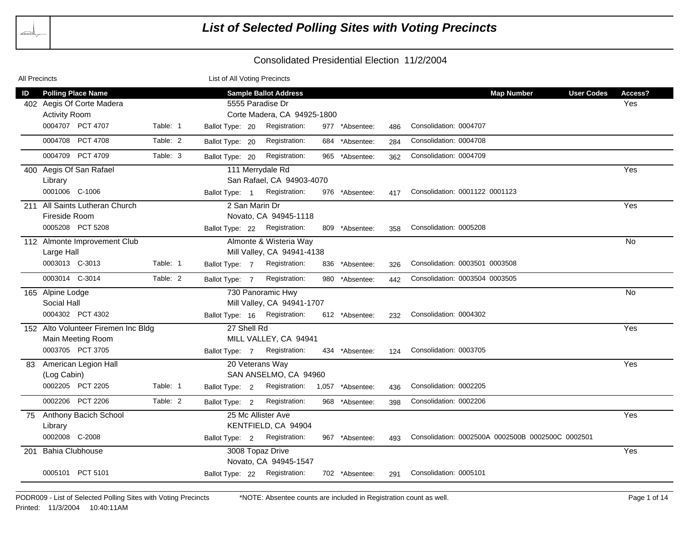| <b>All Precincts</b> |                                     |          | List of All Voting Precincts  |                              |                  |     |                                                   |         |
|----------------------|-------------------------------------|----------|-------------------------------|------------------------------|------------------|-----|---------------------------------------------------|---------|
| ID                   | <b>Polling Place Name</b>           |          |                               | <b>Sample Ballot Address</b> |                  |     | <b>Map Number</b><br><b>User Codes</b>            | Access? |
|                      | 402 Aegis Of Corte Madera           |          |                               | 5555 Paradise Dr             |                  |     |                                                   | Yes     |
|                      | <b>Activity Room</b>                |          |                               | Corte Madera, CA 94925-1800  |                  |     |                                                   |         |
|                      | 0004707 PCT 4707                    | Table: 1 | Ballot Type: 20               | Registration:                | 977 *Absentee:   | 486 | Consolidation: 0004707                            |         |
|                      | 0004708 PCT 4708                    | Table: 2 | Ballot Type: 20               | Registration:                | 684 *Absentee:   | 284 | Consolidation: 0004708                            |         |
|                      | 0004709 PCT 4709                    | Table: 3 | Ballot Type: 20               | Registration:                | 965 *Absentee:   | 362 | Consolidation: 0004709                            |         |
|                      | 400 Aegis Of San Rafael             |          |                               | 111 Merrydale Rd             |                  |     |                                                   | Yes     |
|                      | Library                             |          |                               | San Rafael, CA 94903-4070    |                  |     |                                                   |         |
|                      | 0001006 C-1006                      |          | Ballot Type: 1                | Registration:                | 976 *Absentee:   | 417 | Consolidation: 0001122 0001123                    |         |
| 211                  | All Saints Lutheran Church          |          | 2 San Marin Dr                |                              |                  |     |                                                   | Yes     |
|                      | Fireside Room                       |          |                               | Novato, CA 94945-1118        |                  |     |                                                   |         |
|                      | 0005208 PCT 5208                    |          | Ballot Type: 22 Registration: |                              | 809 *Absentee:   | 358 | Consolidation: 0005208                            |         |
|                      | 112 Almonte Improvement Club        |          |                               | Almonte & Wisteria Way       |                  |     |                                                   | No      |
|                      | Large Hall                          |          |                               | Mill Valley, CA 94941-4138   |                  |     |                                                   |         |
|                      | 0003013 C-3013                      | Table: 1 | Ballot Type: 7                | Registration:                | 836 *Absentee:   | 326 | Consolidation: 0003501 0003508                    |         |
|                      | 0003014 C-3014                      | Table: 2 | Ballot Type: 7                | Registration:                | 980 *Absentee:   | 442 | Consolidation: 0003504 0003505                    |         |
|                      | 165 Alpine Lodge                    |          |                               | 730 Panoramic Hwy            |                  |     |                                                   | No      |
|                      | Social Hall                         |          |                               | Mill Valley, CA 94941-1707   |                  |     |                                                   |         |
|                      | 0004302 PCT 4302                    |          | Ballot Type: 16 Registration: |                              | 612 *Absentee:   | 232 | Consolidation: 0004302                            |         |
|                      | 152 Alto Volunteer Firemen Inc Bldg |          | 27 Shell Rd                   |                              |                  |     |                                                   | Yes     |
|                      | Main Meeting Room                   |          |                               | MILL VALLEY, CA 94941        |                  |     |                                                   |         |
|                      | 0003705 PCT 3705                    |          | Ballot Type: 7 Registration:  |                              | 434 *Absentee:   | 124 | Consolidation: 0003705                            |         |
|                      | 83 American Legion Hall             |          |                               | 20 Veterans Way              |                  |     |                                                   | Yes     |
|                      | (Log Cabin)                         |          |                               | SAN ANSELMO, CA 94960        |                  |     |                                                   |         |
|                      | 0002205 PCT 2205                    | Table: 1 | Ballot Type: 2                | Registration:                | 1,057 *Absentee: | 436 | Consolidation: 0002205                            |         |
|                      | 0002206 PCT 2206                    | Table: 2 | Ballot Type: 2                | Registration:                | 968 *Absentee:   | 398 | Consolidation: 0002206                            |         |
| 75                   | Anthony Bacich School               |          |                               | 25 Mc Allister Ave           |                  |     |                                                   | Yes     |
|                      | Library                             |          |                               | KENTFIELD, CA 94904          |                  |     |                                                   |         |
|                      | 0002008 C-2008                      |          |                               | Ballot Type: 2 Registration: | 967 *Absentee:   | 493 | Consolidation: 0002500A 0002500B 0002500C 0002501 |         |
| 201                  | <b>Bahia Clubhouse</b>              |          |                               | 3008 Topaz Drive             |                  |     |                                                   | Yes     |
|                      |                                     |          |                               | Novato, CA 94945-1547        |                  |     |                                                   |         |
|                      | 0005101 PCT 5101                    |          | Ballot Type: 22 Registration: |                              | 702 *Absentee:   | 291 | Consolidation: 0005101                            |         |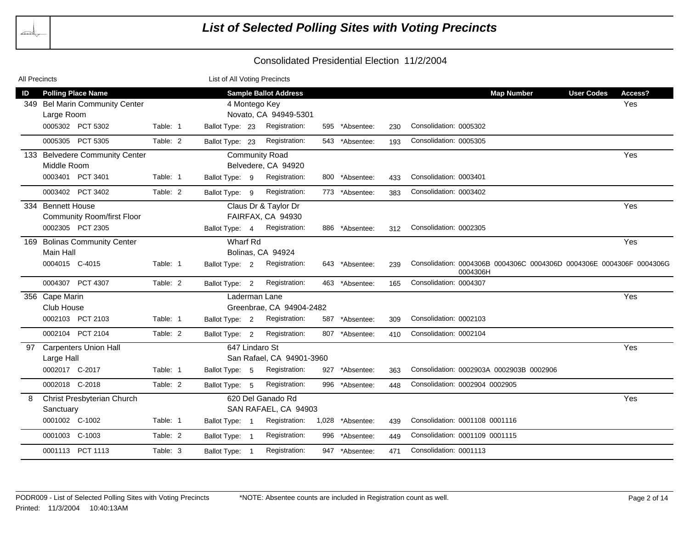| All Precincts |                                   |          | List of All Voting Precincts |                              |     |                  |     |                                                                                  |                   |            |
|---------------|-----------------------------------|----------|------------------------------|------------------------------|-----|------------------|-----|----------------------------------------------------------------------------------|-------------------|------------|
| ID            | <b>Polling Place Name</b>         |          |                              | <b>Sample Ballot Address</b> |     |                  |     | <b>Map Number</b>                                                                | <b>User Codes</b> | Access?    |
|               | 349 Bel Marin Community Center    |          |                              | 4 Montego Key                |     |                  |     |                                                                                  |                   | <b>Yes</b> |
|               | Large Room                        |          |                              | Novato, CA 94949-5301        |     |                  |     |                                                                                  |                   |            |
|               | 0005302 PCT 5302                  | Table: 1 | Ballot Type: 23              | Registration:                | 595 | *Absentee:       | 230 | Consolidation: 0005302                                                           |                   |            |
|               | 0005305 PCT 5305                  | Table: 2 | Ballot Type: 23              | Registration:                |     | 543 *Absentee:   | 193 | Consolidation: 0005305                                                           |                   |            |
|               | 133 Belvedere Community Center    |          |                              | <b>Community Road</b>        |     |                  |     |                                                                                  |                   | Yes        |
|               | Middle Room                       |          |                              | Belvedere, CA 94920          |     |                  |     |                                                                                  |                   |            |
|               | 0003401 PCT 3401                  | Table: 1 | Ballot Type: 9               | Registration:                |     | 800 *Absentee:   | 433 | Consolidation: 0003401                                                           |                   |            |
|               | 0003402 PCT 3402                  | Table: 2 | Ballot Type: 9               | Registration:                |     | 773 *Absentee:   | 383 | Consolidation: 0003402                                                           |                   |            |
|               | 334 Bennett House                 |          |                              | Claus Dr & Taylor Dr         |     |                  |     |                                                                                  |                   | Yes        |
|               | <b>Community Room/first Floor</b> |          |                              | FAIRFAX, CA 94930            |     |                  |     |                                                                                  |                   |            |
|               | 0002305 PCT 2305                  |          | Ballot Type: 4               | Registration:                |     | 886 *Absentee:   | 312 | Consolidation: 0002305                                                           |                   |            |
|               | 169 Bolinas Community Center      |          | <b>Wharf Rd</b>              |                              |     |                  |     |                                                                                  |                   | Yes        |
|               | Main Hall                         |          |                              | Bolinas, CA 94924            |     |                  |     |                                                                                  |                   |            |
|               | 0004015 C-4015                    | Table: 1 | Ballot Type: 2               | Registration:                |     | 643 *Absentee:   | 239 | Consolidation: 0004306B 0004306C 0004306D 0004306E 0004306F 0004306G<br>0004306H |                   |            |
|               | 0004307 PCT 4307                  | Table: 2 | Ballot Type: 2               | Registration:                |     | 463 *Absentee:   | 165 | Consolidation: 0004307                                                           |                   |            |
|               | 356 Cape Marin                    |          |                              | Laderman Lane                |     |                  |     |                                                                                  |                   | Yes        |
|               | Club House                        |          |                              | Greenbrae, CA 94904-2482     |     |                  |     |                                                                                  |                   |            |
|               | 0002103 PCT 2103                  | Table: 1 | Ballot Type: 2               | Registration:                |     | 587 *Absentee:   | 309 | Consolidation: 0002103                                                           |                   |            |
|               | 0002104 PCT 2104                  | Table: 2 | Ballot Type: 2               | Registration:                |     | 807 *Absentee:   | 410 | Consolidation: 0002104                                                           |                   |            |
| 97            | <b>Carpenters Union Hall</b>      |          |                              | 647 Lindaro St               |     |                  |     |                                                                                  |                   | Yes        |
|               | Large Hall                        |          |                              | San Rafael, CA 94901-3960    |     |                  |     |                                                                                  |                   |            |
|               | 0002017 C-2017                    | Table: 1 | Ballot Type: 5               | Registration:                | 927 | *Absentee:       | 363 | Consolidation: 0002903A 0002903B 0002906                                         |                   |            |
|               | 0002018 C-2018                    | Table: 2 | Ballot Type: 5               | Registration:                | 996 | *Absentee:       | 448 | Consolidation: 0002904 0002905                                                   |                   |            |
| 8             | Christ Presbyterian Church        |          |                              | 620 Del Ganado Rd            |     |                  |     |                                                                                  |                   | Yes        |
|               | Sanctuary                         |          |                              | SAN RAFAEL, CA 94903         |     |                  |     |                                                                                  |                   |            |
|               | 0001002 C-1002                    | Table: 1 | Ballot Type: 1               | Registration:                |     | 1,028 *Absentee: | 439 | Consolidation: 0001108 0001116                                                   |                   |            |
|               | 0001003 C-1003                    | Table: 2 | Ballot Type: 1               | Registration:                | 996 | *Absentee:       | 449 | Consolidation: 0001109 0001115                                                   |                   |            |
|               | 0001113 PCT 1113                  | Table: 3 | Ballot Type: 1               | Registration:                |     | 947 *Absentee:   | 471 | Consolidation: 0001113                                                           |                   |            |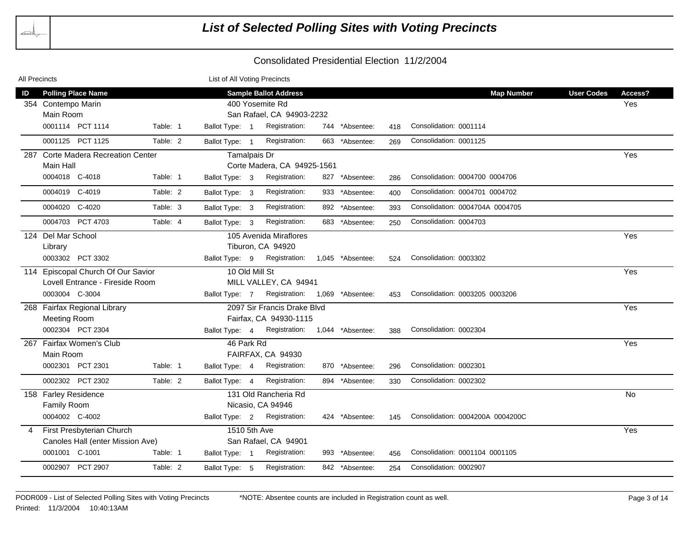| All Precincts |                                                 |          | List of All Voting Precincts |                                                 |                  |     |                                  |                   |                |
|---------------|-------------------------------------------------|----------|------------------------------|-------------------------------------------------|------------------|-----|----------------------------------|-------------------|----------------|
| ID            | <b>Polling Place Name</b><br>354 Contempo Marin |          |                              | <b>Sample Ballot Address</b><br>400 Yosemite Rd |                  |     | <b>Map Number</b>                | <b>User Codes</b> | Access?<br>Yes |
|               | Main Room                                       |          |                              | San Rafael, CA 94903-2232                       |                  |     |                                  |                   |                |
|               | 0001114 PCT 1114                                | Table: 1 | Ballot Type: 1               | Registration:                                   | 744 *Absentee:   | 418 | Consolidation: 0001114           |                   |                |
|               | 0001125 PCT 1125                                | Table: 2 | Ballot Type: 1               | Registration:                                   | 663 *Absentee:   | 269 | Consolidation: 0001125           |                   |                |
| 287           | <b>Corte Madera Recreation Center</b>           |          | Tamalpais Dr                 |                                                 |                  |     |                                  |                   | Yes            |
|               | Main Hall                                       |          |                              | Corte Madera, CA 94925-1561                     |                  |     |                                  |                   |                |
|               | 0004018 C-4018                                  | Table: 1 | Ballot Type: 3               | Registration:                                   | 827 *Absentee:   | 286 | Consolidation: 0004700 0004706   |                   |                |
|               | 0004019 C-4019                                  | Table: 2 | Ballot Type: 3               | Registration:                                   | 933 *Absentee:   | 400 | Consolidation: 0004701 0004702   |                   |                |
|               | 0004020<br>C-4020                               | Table: 3 | Ballot Type: 3               | Registration:                                   | 892 *Absentee:   | 393 | Consolidation: 0004704A 0004705  |                   |                |
|               | 0004703 PCT 4703                                | Table: 4 | Ballot Type: 3               | Registration:                                   | 683 *Absentee:   | 250 | Consolidation: 0004703           |                   |                |
|               | 124 Del Mar School                              |          |                              | 105 Avenida Miraflores                          |                  |     |                                  |                   | Yes            |
|               | Library                                         |          |                              | Tiburon, CA 94920                               |                  |     |                                  |                   |                |
|               | 0003302 PCT 3302                                |          | Ballot Type: 9               | Registration:                                   | 1,045 *Absentee: | 524 | Consolidation: 0003302           |                   |                |
|               | 114 Episcopal Church Of Our Savior              |          | 10 Old Mill St               |                                                 |                  |     |                                  |                   | Yes            |
|               | Lovell Entrance - Fireside Room                 |          |                              | MILL VALLEY, CA 94941                           |                  |     |                                  |                   |                |
|               | 0003004 C-3004                                  |          | Ballot Type: 7               | Registration: 1,069 *Absentee:                  |                  | 453 | Consolidation: 0003205 0003206   |                   |                |
|               | 268 Fairfax Regional Library                    |          |                              | 2097 Sir Francis Drake Blvd                     |                  |     |                                  |                   | Yes            |
|               | <b>Meeting Room</b>                             |          |                              | Fairfax, CA 94930-1115                          |                  |     |                                  |                   |                |
|               | 0002304 PCT 2304                                |          | Ballot Type: 4               | Registration:                                   | 1,044 *Absentee: | 388 | Consolidation: 0002304           |                   |                |
|               | 267 Fairfax Women's Club                        |          | 46 Park Rd                   |                                                 |                  |     |                                  |                   | Yes            |
|               | Main Room                                       |          |                              | FAIRFAX, CA 94930                               |                  |     |                                  |                   |                |
|               | 0002301 PCT 2301                                | Table: 1 | Ballot Type: 4               | Registration:                                   | 870 *Absentee:   | 296 | Consolidation: 0002301           |                   |                |
|               | 0002302 PCT 2302                                | Table: 2 | Ballot Type: 4               | Registration:                                   | 894 *Absentee:   | 330 | Consolidation: 0002302           |                   |                |
|               | 158 Farley Residence                            |          |                              | 131 Old Rancheria Rd                            |                  |     |                                  |                   | No             |
|               | Family Room                                     |          |                              | Nicasio, CA 94946                               |                  |     |                                  |                   |                |
|               | 0004002 C-4002                                  |          | Ballot Type: 2               | Registration:                                   | 424 *Absentee:   | 145 | Consolidation: 0004200A 0004200C |                   |                |
| 4             | First Presbyterian Church                       |          | 1510 5th Ave                 |                                                 |                  |     |                                  |                   | Yes            |
|               | Canoles Hall (enter Mission Ave)                |          |                              | San Rafael, CA 94901                            |                  |     |                                  |                   |                |
|               | 0001001 C-1001                                  | Table: 1 | Ballot Type: 1               | Registration:                                   | 993 *Absentee:   | 456 | Consolidation: 0001104 0001105   |                   |                |
|               | 0002907 PCT 2907                                | Table: 2 | Ballot Type: 5               | Registration:                                   | 842 *Absentee:   | 254 | Consolidation: 0002907           |                   |                |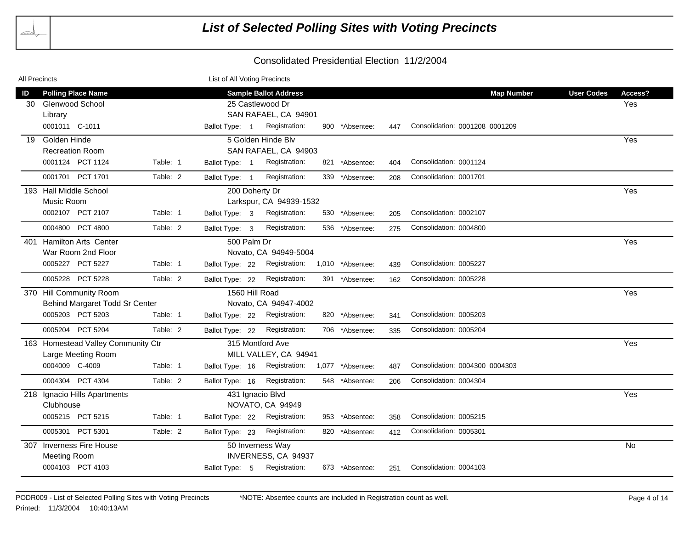| All Precincts |                                    |          | List of All Voting Precincts |                              |     |                  |     |                                |                   |         |
|---------------|------------------------------------|----------|------------------------------|------------------------------|-----|------------------|-----|--------------------------------|-------------------|---------|
| ID            | <b>Polling Place Name</b>          |          |                              | <b>Sample Ballot Address</b> |     |                  |     | <b>Map Number</b>              | <b>User Codes</b> | Access? |
| 30            | <b>Glenwood School</b>             |          |                              | 25 Castlewood Dr             |     |                  |     |                                |                   | Yes     |
|               | Library                            |          |                              | SAN RAFAEL, CA 94901         |     |                  |     |                                |                   |         |
|               | 0001011 C-1011                     |          | Ballot Type: 1               | Registration:                |     | 900 *Absentee:   | 447 | Consolidation: 0001208 0001209 |                   |         |
| 19            | Golden Hinde                       |          |                              | 5 Golden Hinde Blv           |     |                  |     |                                |                   | Yes     |
|               | <b>Recreation Room</b>             |          |                              | SAN RAFAEL, CA 94903         |     |                  |     |                                |                   |         |
|               | 0001124 PCT 1124                   | Table: 1 | Ballot Type: 1               | Registration:                |     | 821 *Absentee:   | 404 | Consolidation: 0001124         |                   |         |
|               | 0001701 PCT 1701                   | Table: 2 | Ballot Type: 1               | Registration:                |     | 339 *Absentee:   | 208 | Consolidation: 0001701         |                   |         |
|               | 193 Hall Middle School             |          |                              | 200 Doherty Dr               |     |                  |     |                                |                   | Yes     |
|               | Music Room                         |          |                              | Larkspur, CA 94939-1532      |     |                  |     |                                |                   |         |
|               | 0002107 PCT 2107                   | Table: 1 | Ballot Type: 3               | Registration:                |     | 530 *Absentee:   | 205 | Consolidation: 0002107         |                   |         |
|               | 0004800<br>PCT 4800                | Table: 2 | Ballot Type: 3               | Registration:                |     | 536 *Absentee:   | 275 | Consolidation: 0004800         |                   |         |
| 401           | <b>Hamilton Arts Center</b>        |          | 500 Palm Dr                  |                              |     |                  |     |                                |                   | Yes     |
|               | War Room 2nd Floor                 |          |                              | Novato, CA 94949-5004        |     |                  |     |                                |                   |         |
|               | 0005227 PCT 5227                   | Table: 1 | Ballot Type: 22              | Registration:                |     | 1,010 *Absentee: | 439 | Consolidation: 0005227         |                   |         |
|               | 0005228 PCT 5228                   | Table: 2 | Ballot Type: 22              | Registration:                | 391 | *Absentee:       | 162 | Consolidation: 0005228         |                   |         |
|               | 370 Hill Community Room            |          |                              | 1560 Hill Road               |     |                  |     |                                |                   | Yes     |
|               | Behind Margaret Todd Sr Center     |          |                              | Novato, CA 94947-4002        |     |                  |     |                                |                   |         |
|               | 0005203 PCT 5203                   | Table: 1 | Ballot Type: 22              | Registration:                |     | 820 *Absentee:   | 341 | Consolidation: 0005203         |                   |         |
|               | 0005204 PCT 5204                   | Table: 2 | Ballot Type: 22              | Registration:                |     | 706 *Absentee:   | 335 | Consolidation: 0005204         |                   |         |
|               | 163 Homestead Valley Community Ctr |          |                              | 315 Montford Ave             |     |                  |     |                                |                   | Yes     |
|               | Large Meeting Room                 |          |                              | MILL VALLEY, CA 94941        |     |                  |     |                                |                   |         |
|               | 0004009 C-4009                     | Table: 1 | Ballot Type: 16              | Registration:                |     | 1,077 *Absentee: | 487 | Consolidation: 0004300 0004303 |                   |         |
|               | 0004304 PCT 4304                   | Table: 2 | Ballot Type: 16              | Registration:                |     | 548 *Absentee:   | 206 | Consolidation: 0004304         |                   |         |
|               | 218 Ignacio Hills Apartments       |          |                              | 431 Ignacio Blvd             |     |                  |     |                                |                   | Yes     |
|               | Clubhouse                          |          |                              | NOVATO, CA 94949             |     |                  |     |                                |                   |         |
|               | 0005215 PCT 5215                   | Table: 1 | Ballot Type: 22              | Registration:                |     | 953 *Absentee:   | 358 | Consolidation: 0005215         |                   |         |
|               | 0005301 PCT 5301                   | Table: 2 | Ballot Type: 23              | Registration:                |     | 820 *Absentee:   | 412 | Consolidation: 0005301         |                   |         |
|               | 307 Inverness Fire House           |          |                              | 50 Inverness Way             |     |                  |     |                                |                   | No      |
|               | Meeting Room                       |          |                              | INVERNESS, CA 94937          |     |                  |     |                                |                   |         |
|               | 0004103 PCT 4103                   |          | Ballot Type: 5               | Registration:                |     | 673 *Absentee:   | 251 | Consolidation: 0004103         |                   |         |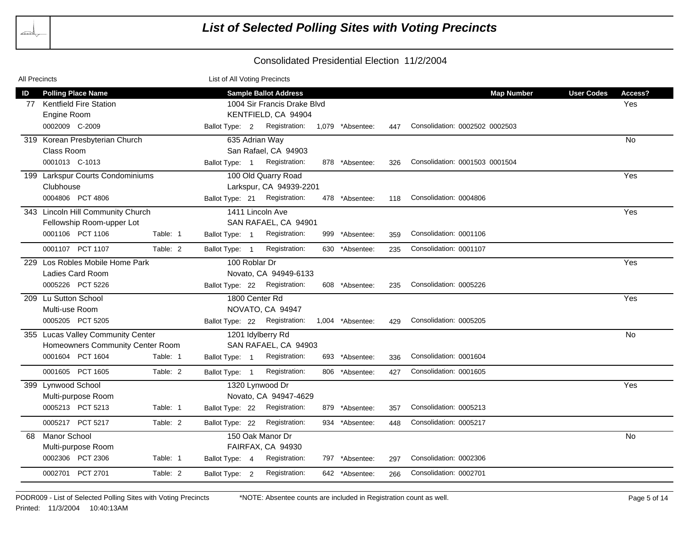| All Precincts |                      |                                   |          | List of All Voting Precincts |                               |                  |     |                                |                   |         |
|---------------|----------------------|-----------------------------------|----------|------------------------------|-------------------------------|------------------|-----|--------------------------------|-------------------|---------|
| ID            |                      | <b>Polling Place Name</b>         |          |                              | <b>Sample Ballot Address</b>  |                  |     | <b>Map Number</b>              | <b>User Codes</b> | Access? |
| 77            |                      | <b>Kentfield Fire Station</b>     |          |                              | 1004 Sir Francis Drake Blvd   |                  |     |                                |                   | Yes     |
|               | Engine Room          |                                   |          |                              | KENTFIELD, CA 94904           |                  |     |                                |                   |         |
|               | 0002009 C-2009       |                                   |          | Ballot Type: 2               | Registration:                 | 1,079 *Absentee: | 447 | Consolidation: 0002502 0002503 |                   |         |
|               |                      | 319 Korean Presbyterian Church    |          |                              | 635 Adrian Way                |                  |     |                                |                   | No      |
|               | Class Room           |                                   |          |                              | San Rafael, CA 94903          |                  |     |                                |                   |         |
|               | 0001013 C-1013       |                                   |          | Ballot Type: 1               | Registration:                 | 878 *Absentee:   | 326 | Consolidation: 0001503 0001504 |                   |         |
|               |                      | 199 Larkspur Courts Condominiums  |          |                              | 100 Old Quarry Road           |                  |     |                                |                   | Yes     |
|               | Clubhouse            |                                   |          |                              | Larkspur, CA 94939-2201       |                  |     |                                |                   |         |
|               |                      | 0004806 PCT 4806                  |          |                              | Ballot Type: 21 Registration: | 478 *Absentee:   | 118 | Consolidation: 0004806         |                   |         |
|               |                      | 343 Lincoln Hill Community Church |          |                              | 1411 Lincoln Ave              |                  |     |                                |                   | Yes     |
|               |                      | Fellowship Room-upper Lot         |          |                              | SAN RAFAEL, CA 94901          |                  |     |                                |                   |         |
|               |                      | 0001106 PCT 1106                  | Table: 1 | Ballot Type: 1               | Registration:                 | 999 *Absentee:   | 359 | Consolidation: 0001106         |                   |         |
|               |                      | 0001107 PCT 1107                  | Table: 2 | Ballot Type: 1               | Registration:                 | 630 *Absentee:   | 235 | Consolidation: 0001107         |                   |         |
|               |                      | 229 Los Robles Mobile Home Park   |          | 100 Roblar Dr                |                               |                  |     |                                |                   | Yes     |
|               |                      | Ladies Card Room                  |          |                              | Novato, CA 94949-6133         |                  |     |                                |                   |         |
|               |                      | 0005226 PCT 5226                  |          |                              | Ballot Type: 22 Registration: | 608 *Absentee:   | 235 | Consolidation: 0005226         |                   |         |
|               | 209 Lu Sutton School |                                   |          |                              | 1800 Center Rd                |                  |     |                                |                   | Yes     |
|               | Multi-use Room       |                                   |          |                              | NOVATO, CA 94947              |                  |     |                                |                   |         |
|               |                      | 0005205 PCT 5205                  |          |                              | Ballot Type: 22 Registration: | 1,004 *Absentee: | 429 | Consolidation: 0005205         |                   |         |
|               |                      | 355 Lucas Valley Community Center |          |                              | 1201 Idylberry Rd             |                  |     |                                |                   | No      |
|               |                      | Homeowners Community Center Room  |          |                              | SAN RAFAEL, CA 94903          |                  |     |                                |                   |         |
|               |                      | 0001604 PCT 1604                  | Table: 1 | Ballot Type: 1               | Registration:                 | 693 *Absentee:   | 336 | Consolidation: 0001604         |                   |         |
|               |                      | 0001605 PCT 1605                  | Table: 2 | Ballot Type: 1               | Registration:                 | 806 *Absentee:   | 427 | Consolidation: 0001605         |                   |         |
|               | 399 Lynwood School   |                                   |          |                              | 1320 Lynwood Dr               |                  |     |                                |                   | Yes     |
|               |                      | Multi-purpose Room                |          |                              | Novato, CA 94947-4629         |                  |     |                                |                   |         |
|               |                      | 0005213 PCT 5213                  | Table: 1 | Ballot Type: 22              | Registration:                 | 879 *Absentee:   | 357 | Consolidation: 0005213         |                   |         |
|               |                      | 0005217 PCT 5217                  | Table: 2 | Ballot Type: 22              | Registration:                 | 934 *Absentee:   | 448 | Consolidation: 0005217         |                   |         |
| 68            | <b>Manor School</b>  |                                   |          |                              | 150 Oak Manor Dr              |                  |     |                                |                   | No      |
|               |                      | Multi-purpose Room                |          |                              | FAIRFAX, CA 94930             |                  |     |                                |                   |         |
|               |                      | 0002306 PCT 2306                  | Table: 1 | Ballot Type: 4               | Registration:                 | 797 *Absentee:   | 297 | Consolidation: 0002306         |                   |         |
|               |                      | 0002701 PCT 2701                  | Table: 2 | Ballot Type: 2               | Registration:                 | 642 *Absentee:   | 266 | Consolidation: 0002701         |                   |         |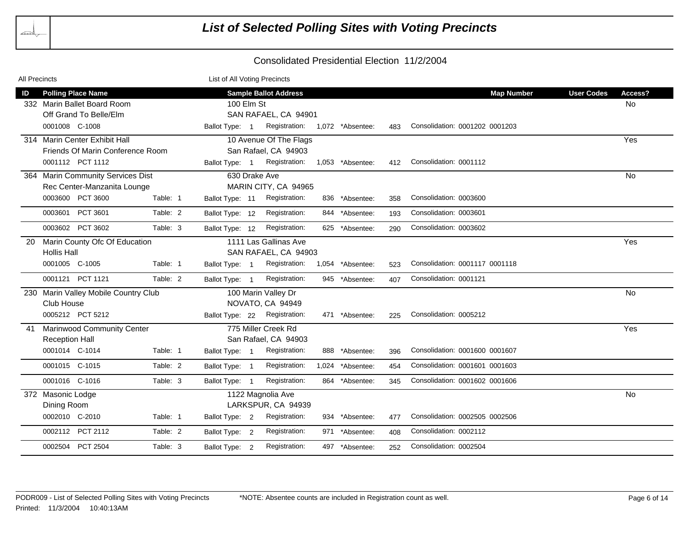| All Precincts |                       |                                      |          | List of All Voting Precincts |                                |                  |     |                                |                   |         |
|---------------|-----------------------|--------------------------------------|----------|------------------------------|--------------------------------|------------------|-----|--------------------------------|-------------------|---------|
| ID            |                       | <b>Polling Place Name</b>            |          |                              | <b>Sample Ballot Address</b>   |                  |     | <b>Map Number</b>              | <b>User Codes</b> | Access? |
|               |                       | 332 Marin Ballet Board Room          |          | 100 Elm St                   |                                |                  |     |                                |                   | No      |
|               |                       | Off Grand To Belle/Elm               |          |                              | SAN RAFAEL, CA 94901           |                  |     |                                |                   |         |
|               | 0001008 C-1008        |                                      |          | Ballot Type: 1               | Registration: 1,072 *Absentee: |                  | 483 | Consolidation: 0001202 0001203 |                   |         |
|               |                       | 314 Marin Center Exhibit Hall        |          |                              | 10 Avenue Of The Flags         |                  |     |                                |                   | Yes     |
|               |                       | Friends Of Marin Conference Room     |          |                              | San Rafael, CA 94903           |                  |     |                                |                   |         |
|               |                       | 0001112 PCT 1112                     |          | Ballot Type: 1               | Registration:                  | 1,053 *Absentee: | 412 | Consolidation: 0001112         |                   |         |
|               |                       | 364 Marin Community Services Dist    |          |                              | 630 Drake Ave                  |                  |     |                                |                   | No      |
|               |                       | Rec Center-Manzanita Lounge          |          |                              | MARIN CITY, CA 94965           |                  |     |                                |                   |         |
|               |                       | 0003600 PCT 3600                     | Table: 1 | Ballot Type: 11              | Registration:                  | 836 *Absentee:   | 358 | Consolidation: 0003600         |                   |         |
|               |                       | 0003601 PCT 3601                     | Table: 2 | Ballot Type: 12              | Registration:                  | 844 *Absentee:   | 193 | Consolidation: 0003601         |                   |         |
|               |                       | 0003602 PCT 3602                     | Table: 3 | Ballot Type: 12              | Registration:                  | 625 *Absentee:   | 290 | Consolidation: 0003602         |                   |         |
| -20           |                       | Marin County Ofc Of Education        |          |                              | 1111 Las Gallinas Ave          |                  |     |                                |                   | Yes     |
|               | <b>Hollis Hall</b>    |                                      |          |                              | SAN RAFAEL, CA 94903           |                  |     |                                |                   |         |
|               | 0001005 C-1005        |                                      | Table: 1 | Ballot Type: 1               | Registration:                  | 1,054 *Absentee: | 523 | Consolidation: 0001117 0001118 |                   |         |
|               |                       | 0001121 PCT 1121                     | Table: 2 | Ballot Type: 1               | Registration:                  | 945 *Absentee:   | 407 | Consolidation: 0001121         |                   |         |
|               |                       | 230 Marin Valley Mobile Country Club |          |                              | 100 Marin Valley Dr            |                  |     |                                |                   | No      |
|               | Club House            |                                      |          |                              | NOVATO, CA 94949               |                  |     |                                |                   |         |
|               |                       | 0005212 PCT 5212                     |          | Ballot Type: 22              | Registration:                  | 471 *Absentee:   | 225 | Consolidation: 0005212         |                   |         |
| 41            |                       | <b>Marinwood Community Center</b>    |          |                              | 775 Miller Creek Rd            |                  |     |                                |                   | Yes     |
|               | <b>Reception Hall</b> |                                      |          |                              | San Rafael, CA 94903           |                  |     |                                |                   |         |
|               | 0001014 C-1014        |                                      | Table: 1 | Ballot Type: 1               | Registration:                  | 888 *Absentee:   | 396 | Consolidation: 0001600 0001607 |                   |         |
|               | 0001015 C-1015        |                                      | Table: 2 | Ballot Type: 1               | Registration:                  | 1,024 *Absentee: | 454 | Consolidation: 0001601 0001603 |                   |         |
|               | 0001016 C-1016        |                                      | Table: 3 | Ballot Type: 1               | Registration:                  | 864 *Absentee:   | 345 | Consolidation: 0001602 0001606 |                   |         |
|               | 372 Masonic Lodge     |                                      |          |                              | 1122 Magnolia Ave              |                  |     |                                |                   | No      |
|               | Dining Room           |                                      |          |                              | LARKSPUR, CA 94939             |                  |     |                                |                   |         |
|               | 0002010 C-2010        |                                      | Table: 1 | Ballot Type: 2               | Registration:                  | 934 *Absentee:   | 477 | Consolidation: 0002505 0002506 |                   |         |
|               |                       | 0002112 PCT 2112                     | Table: 2 | Ballot Type: 2               | Registration:                  | 971 *Absentee:   | 408 | Consolidation: 0002112         |                   |         |
|               |                       | 0002504 PCT 2504                     | Table: 3 | Ballot Type: 2               | Registration:                  | 497 *Absentee:   | 252 | Consolidation: 0002504         |                   |         |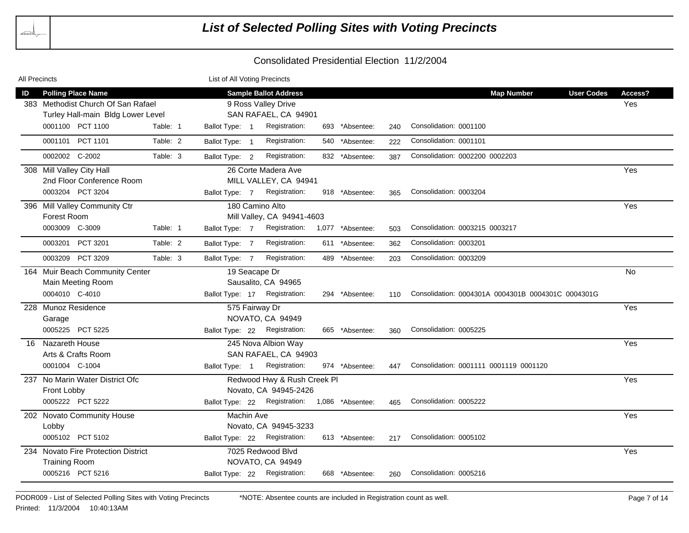| <b>All Precincts</b> |                                     |          | List of All Voting Precincts |                                                |                  |     |                                                    |           |
|----------------------|-------------------------------------|----------|------------------------------|------------------------------------------------|------------------|-----|----------------------------------------------------|-----------|
| ID                   | <b>Polling Place Name</b>           |          |                              | <b>Sample Ballot Address</b>                   |                  |     | <b>User Codes</b><br><b>Map Number</b>             | Access?   |
|                      | 383 Methodist Church Of San Rafael  |          |                              | 9 Ross Valley Drive                            |                  |     |                                                    | Yes       |
|                      | Turley Hall-main Bldg Lower Level   |          |                              | SAN RAFAEL, CA 94901                           |                  |     |                                                    |           |
|                      | 0001100 PCT 1100                    | Table: 1 | Ballot Type: 1               | Registration:                                  | 693 *Absentee:   | 240 | Consolidation: 0001100                             |           |
|                      | 0001101 PCT 1101                    | Table: 2 | Ballot Type: 1               | Registration:                                  | 540 *Absentee:   | 222 | Consolidation: 0001101                             |           |
|                      | 0002002 C-2002                      | Table: 3 | Ballot Type: 2               | Registration:                                  | 832 *Absentee:   | 387 | Consolidation: 0002200 0002203                     |           |
|                      | 308 Mill Valley City Hall           |          |                              | 26 Corte Madera Ave                            |                  |     |                                                    | Yes       |
|                      | 2nd Floor Conference Room           |          |                              | MILL VALLEY, CA 94941                          |                  |     |                                                    |           |
|                      | 0003204 PCT 3204                    |          | Ballot Type: 7               | Registration:                                  | 918 *Absentee:   | 365 | Consolidation: 0003204                             |           |
|                      | 396 Mill Valley Community Ctr       |          |                              | 180 Camino Alto                                |                  |     |                                                    | Yes       |
|                      | Forest Room                         |          |                              | Mill Valley, CA 94941-4603                     |                  |     |                                                    |           |
|                      | 0003009 C-3009                      | Table: 1 | Ballot Type: 7               | Registration:                                  | 1,077 *Absentee: | 503 | Consolidation: 0003215 0003217                     |           |
|                      | 0003201 PCT 3201                    | Table: 2 | Ballot Type: 7               | Registration:                                  | 611 *Absentee:   | 362 | Consolidation: 0003201                             |           |
|                      | 0003209 PCT 3209                    | Table: 3 | Ballot Type: 7               | Registration:                                  | 489 *Absentee:   | 203 | Consolidation: 0003209                             |           |
|                      | 164 Muir Beach Community Center     |          |                              | 19 Seacape Dr                                  |                  |     |                                                    | <b>No</b> |
|                      | Main Meeting Room                   |          |                              | Sausalito, CA 94965                            |                  |     |                                                    |           |
|                      | 0004010 C-4010                      |          |                              | Ballot Type: 17 Registration:                  | 294 *Absentee:   | 110 | Consolidation: 0004301A 0004301B 0004301C 0004301G |           |
|                      | 228 Munoz Residence                 |          |                              | 575 Fairway Dr                                 |                  |     |                                                    | Yes       |
|                      | Garage                              |          |                              | NOVATO, CA 94949                               |                  |     |                                                    |           |
|                      | 0005225 PCT 5225                    |          |                              | Ballot Type: 22 Registration:                  | 665 *Absentee:   | 360 | Consolidation: 0005225                             |           |
|                      | 16 Nazareth House                   |          |                              | 245 Nova Albion Way                            |                  |     |                                                    | Yes       |
|                      | Arts & Crafts Room                  |          |                              | SAN RAFAEL, CA 94903                           |                  |     |                                                    |           |
|                      | 0001004 C-1004                      |          | Ballot Type: 1               | Registration:                                  | 974 *Absentee:   | 447 | Consolidation: 0001111 0001119 0001120             |           |
|                      | 237 No Marin Water District Ofc     |          |                              | Redwood Hwy & Rush Creek Pl                    |                  |     |                                                    | Yes       |
|                      | Front Lobby                         |          |                              | Novato, CA 94945-2426                          |                  |     |                                                    |           |
|                      | 0005222 PCT 5222                    |          |                              | Ballot Type: 22 Registration: 1,086 *Absentee: |                  | 465 | Consolidation: 0005222                             |           |
|                      | 202 Novato Community House          |          | Machin Ave                   |                                                |                  |     |                                                    | Yes       |
|                      | Lobby                               |          |                              | Novato, CA 94945-3233                          |                  |     |                                                    |           |
|                      | 0005102 PCT 5102                    |          |                              | Ballot Type: 22 Registration:                  | 613 *Absentee:   | 217 | Consolidation: 0005102                             |           |
|                      | 234 Novato Fire Protection District |          |                              | 7025 Redwood Blvd                              |                  |     |                                                    | Yes       |
|                      | <b>Training Room</b>                |          |                              | NOVATO, CA 94949                               |                  |     |                                                    |           |
|                      | 0005216 PCT 5216                    |          | Ballot Type: 22              | Registration:                                  | 668 *Absentee:   | 260 | Consolidation: 0005216                             |           |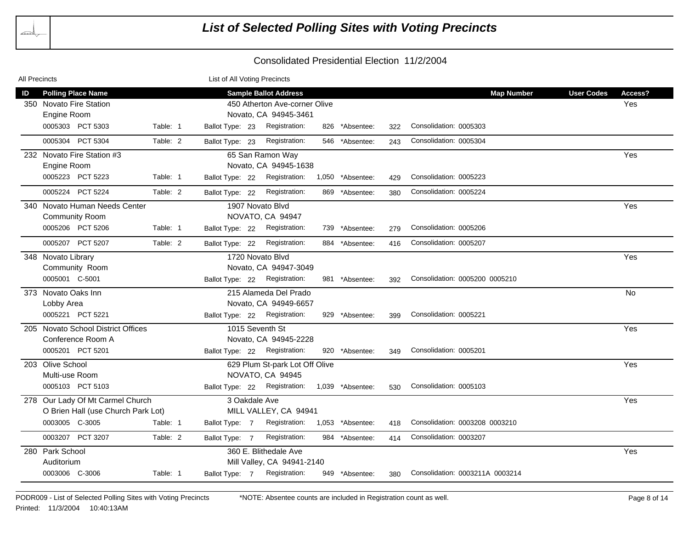| All Precincts |                                    |          | List of All Voting Precincts |                                |     |                  |     |                                 |                   |           |
|---------------|------------------------------------|----------|------------------------------|--------------------------------|-----|------------------|-----|---------------------------------|-------------------|-----------|
| ID            | <b>Polling Place Name</b>          |          |                              | <b>Sample Ballot Address</b>   |     |                  |     | <b>Map Number</b>               | <b>User Codes</b> | Access?   |
|               | 350 Novato Fire Station            |          |                              | 450 Atherton Ave-corner Olive  |     |                  |     |                                 |                   | Yes       |
|               | Engine Room                        |          |                              | Novato, CA 94945-3461          |     |                  |     |                                 |                   |           |
|               | 0005303 PCT 5303                   | Table: 1 | Ballot Type: 23              | Registration:                  |     | 826 *Absentee:   | 322 | Consolidation: 0005303          |                   |           |
|               | 0005304 PCT 5304                   | Table: 2 | Ballot Type: 23              | Registration:                  | 546 | *Absentee:       | 243 | Consolidation: 0005304          |                   |           |
|               | 232 Novato Fire Station #3         |          |                              | 65 San Ramon Way               |     |                  |     |                                 |                   | Yes       |
|               | Engine Room                        |          |                              | Novato, CA 94945-1638          |     |                  |     |                                 |                   |           |
|               | 0005223 PCT 5223                   | Table: 1 | Ballot Type: 22              | Registration:                  |     | 1,050 *Absentee: | 429 | Consolidation: 0005223          |                   |           |
|               | 0005224 PCT 5224                   | Table: 2 | Ballot Type: 22              | Registration:                  |     | 869 *Absentee:   | 380 | Consolidation: 0005224          |                   |           |
|               | 340 Novato Human Needs Center      |          |                              | 1907 Novato Blvd               |     |                  |     |                                 |                   | Yes       |
|               | Community Room                     |          |                              | NOVATO, CA 94947               |     |                  |     |                                 |                   |           |
|               | 0005206 PCT 5206                   | Table: 1 | Ballot Type: 22              | Registration:                  |     | 739 *Absentee:   | 279 | Consolidation: 0005206          |                   |           |
|               | 0005207 PCT 5207                   | Table: 2 | Ballot Type: 22              | Registration:                  |     | 884 *Absentee:   | 416 | Consolidation: 0005207          |                   |           |
|               | 348 Novato Library                 |          |                              | 1720 Novato Blvd               |     |                  |     |                                 |                   | Yes       |
|               | Community Room                     |          |                              | Novato, CA 94947-3049          |     |                  |     |                                 |                   |           |
|               | 0005001 C-5001                     |          | Ballot Type: 22              | Registration:                  |     | 981 *Absentee:   | 392 | Consolidation: 0005200 0005210  |                   |           |
|               | 373 Novato Oaks Inn                |          |                              | 215 Alameda Del Prado          |     |                  |     |                                 |                   | <b>No</b> |
|               | Lobby Area                         |          |                              | Novato, CA 94949-6657          |     |                  |     |                                 |                   |           |
|               | 0005221 PCT 5221                   |          | Ballot Type: 22              | Registration:                  |     | 929 *Absentee:   | 399 | Consolidation: 0005221          |                   |           |
|               | 205 Novato School District Offices |          | 1015 Seventh St              |                                |     |                  |     |                                 |                   | Yes       |
|               | Conference Room A                  |          |                              | Novato, CA 94945-2228          |     |                  |     |                                 |                   |           |
|               | 0005201 PCT 5201                   |          | Ballot Type: 22              | Registration:                  |     | 920 *Absentee:   | 349 | Consolidation: 0005201          |                   |           |
|               | 203 Olive School                   |          |                              | 629 Plum St-park Lot Off Olive |     |                  |     |                                 |                   | Yes       |
|               | Multi-use Room                     |          |                              | NOVATO, CA 94945               |     |                  |     |                                 |                   |           |
|               | 0005103 PCT 5103                   |          | Ballot Type: 22              | Registration:                  |     | 1,039 *Absentee: | 530 | Consolidation: 0005103          |                   |           |
|               | 278 Our Lady Of Mt Carmel Church   |          | 3 Oakdale Ave                |                                |     |                  |     |                                 |                   | Yes       |
|               | O Brien Hall (use Church Park Lot) |          |                              | MILL VALLEY, CA 94941          |     |                  |     |                                 |                   |           |
|               | 0003005 C-3005                     | Table: 1 | Ballot Type: 7               | Registration:                  |     | 1,053 *Absentee: | 418 | Consolidation: 0003208 0003210  |                   |           |
|               | 0003207 PCT 3207                   | Table: 2 | Ballot Type: 7               | Registration:                  | 984 | *Absentee:       | 414 | Consolidation: 0003207          |                   |           |
|               | 280 Park School                    |          |                              | 360 E. Blithedale Ave          |     |                  |     |                                 |                   | Yes       |
|               | Auditorium                         |          |                              | Mill Valley, CA 94941-2140     |     |                  |     |                                 |                   |           |
|               | 0003006 C-3006                     | Table: 1 | Ballot Type: 7               | Registration:                  |     | 949 *Absentee:   | 380 | Consolidation: 0003211A 0003214 |                   |           |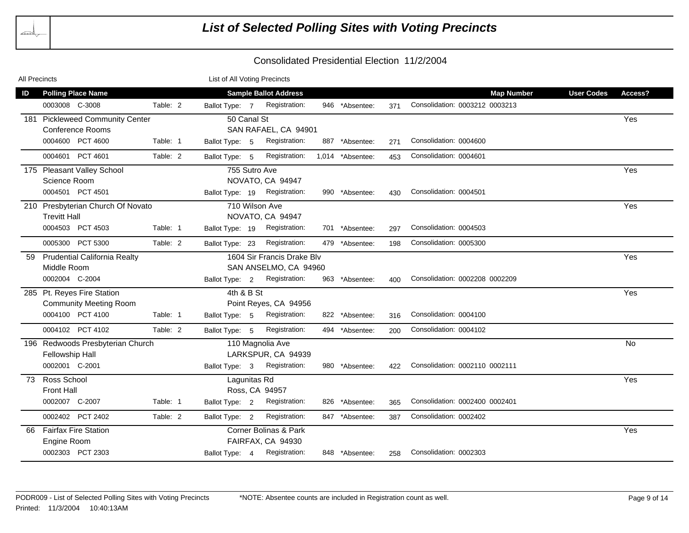| <b>All Precincts</b> |                                     |          | List of All Voting Precincts |  |                              |                  |     |                                |                   |           |
|----------------------|-------------------------------------|----------|------------------------------|--|------------------------------|------------------|-----|--------------------------------|-------------------|-----------|
| ID                   | <b>Polling Place Name</b>           |          |                              |  | <b>Sample Ballot Address</b> |                  |     | <b>Map Number</b>              | <b>User Codes</b> | Access?   |
|                      | 0003008 C-3008                      | Table: 2 | Ballot Type: 7               |  | Registration:                | 946 *Absentee:   | 371 | Consolidation: 0003212 0003213 |                   |           |
|                      | 181 Pickleweed Community Center     |          | 50 Canal St                  |  |                              |                  |     |                                |                   | Yes       |
|                      | <b>Conference Rooms</b>             |          |                              |  | SAN RAFAEL, CA 94901         |                  |     |                                |                   |           |
|                      | 0004600 PCT 4600                    | Table: 1 | Ballot Type: 5               |  | Registration:                | 887 *Absentee:   | 271 | Consolidation: 0004600         |                   |           |
|                      | 0004601 PCT 4601                    | Table: 2 | Ballot Type: 5               |  | Registration:                | 1,014 *Absentee: | 453 | Consolidation: 0004601         |                   |           |
|                      | 175 Pleasant Valley School          |          | 755 Sutro Ave                |  |                              |                  |     |                                |                   | Yes       |
|                      | Science Room                        |          |                              |  | NOVATO, CA 94947             |                  |     |                                |                   |           |
|                      | 0004501 PCT 4501                    |          | Ballot Type: 19              |  | Registration:                | 990 *Absentee:   | 430 | Consolidation: 0004501         |                   |           |
|                      | 210 Presbyterian Church Of Novato   |          |                              |  | 710 Wilson Ave               |                  |     |                                |                   | Yes       |
|                      | <b>Trevitt Hall</b>                 |          |                              |  | NOVATO, CA 94947             |                  |     |                                |                   |           |
|                      | 0004503 PCT 4503                    | Table: 1 | Ballot Type: 19              |  | Registration:                | 701 *Absentee:   | 297 | Consolidation: 0004503         |                   |           |
|                      | 0005300 PCT 5300                    | Table: 2 | Ballot Type: 23              |  | Registration:                | 479 *Absentee:   | 198 | Consolidation: 0005300         |                   |           |
| 59                   | <b>Prudential California Realty</b> |          |                              |  | 1604 Sir Francis Drake Blv   |                  |     |                                |                   | Yes       |
|                      | Middle Room                         |          |                              |  | SAN ANSELMO, CA 94960        |                  |     |                                |                   |           |
|                      | 0002004 C-2004                      |          | Ballot Type: 2               |  | Registration:                | 963 *Absentee:   | 400 | Consolidation: 0002208 0002209 |                   |           |
|                      | 285 Pt. Reyes Fire Station          |          | 4th & B St                   |  |                              |                  |     |                                |                   | Yes       |
|                      | <b>Community Meeting Room</b>       |          |                              |  | Point Reyes, CA 94956        |                  |     |                                |                   |           |
|                      | 0004100 PCT 4100                    | Table: 1 | Ballot Type: 5               |  | Registration:                | 822 *Absentee:   | 316 | Consolidation: 0004100         |                   |           |
|                      | 0004102 PCT 4102                    | Table: 2 | Ballot Type: 5               |  | Registration:                | 494 *Absentee:   | 200 | Consolidation: 0004102         |                   |           |
|                      | 196 Redwoods Presbyterian Church    |          |                              |  | 110 Magnolia Ave             |                  |     |                                |                   | <b>No</b> |
|                      | Fellowship Hall                     |          |                              |  | LARKSPUR, CA 94939           |                  |     |                                |                   |           |
|                      | 0002001 C-2001                      |          | Ballot Type: 3               |  | Registration:                | 980 *Absentee:   | 422 | Consolidation: 0002110 0002111 |                   |           |
| 73                   | Ross School                         |          | Lagunitas Rd                 |  |                              |                  |     |                                |                   | Yes       |
|                      | <b>Front Hall</b>                   |          |                              |  | Ross, CA 94957               |                  |     |                                |                   |           |
|                      | 0002007 C-2007                      | Table: 1 | Ballot Type: 2               |  | Registration:                | 826 *Absentee:   | 365 | Consolidation: 0002400 0002401 |                   |           |
|                      | 0002402 PCT 2402                    | Table: 2 | Ballot Type: 2               |  | Registration:                | 847 *Absentee:   | 387 | Consolidation: 0002402         |                   |           |
| 66.                  | <b>Fairfax Fire Station</b>         |          |                              |  | Corner Bolinas & Park        |                  |     |                                |                   | Yes       |
|                      | Engine Room                         |          |                              |  | FAIRFAX, CA 94930            |                  |     |                                |                   |           |
|                      | 0002303 PCT 2303                    |          | Ballot Type: 4               |  | Registration:                | 848 *Absentee:   | 258 | Consolidation: 0002303         |                   |           |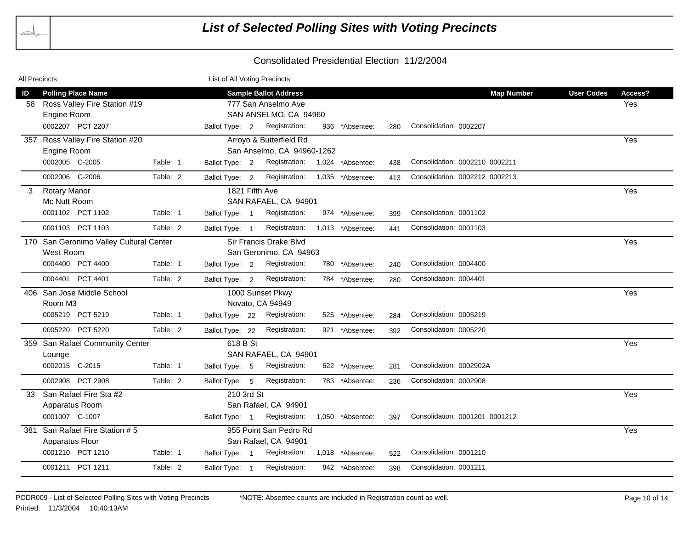| All Precincts                           |                                         |          | List of All Voting Precincts |  |                              |                  |     |                                |                   |         |
|-----------------------------------------|-----------------------------------------|----------|------------------------------|--|------------------------------|------------------|-----|--------------------------------|-------------------|---------|
| ID                                      | <b>Polling Place Name</b>               |          |                              |  | <b>Sample Ballot Address</b> |                  |     | <b>Map Number</b>              | <b>User Codes</b> | Access? |
|                                         | 58 Ross Valley Fire Station #19         |          |                              |  | 777 San Anselmo Ave          |                  |     |                                |                   | Yes     |
|                                         | Engine Room                             |          |                              |  | SAN ANSELMO, CA 94960        |                  |     |                                |                   |         |
|                                         | 0002207 PCT 2207                        |          | Ballot Type: 2               |  | Registration:                | 936 *Absentee:   | 280 | Consolidation: 0002207         |                   |         |
|                                         | 357 Ross Valley Fire Station #20        |          |                              |  | Arroyo & Butterfield Rd      |                  |     |                                |                   | Yes     |
|                                         | Engine Room                             |          |                              |  | San Anselmo, CA 94960-1262   |                  |     |                                |                   |         |
|                                         | 0002005 C-2005                          | Table: 1 | Ballot Type: 2               |  | Registration:                | 1,024 *Absentee: | 438 | Consolidation: 0002210 0002211 |                   |         |
|                                         | 0002006 C-2006                          | Table: 2 | Ballot Type: 2               |  | Registration:                | 1,035 *Absentee: | 413 | Consolidation: 0002212 0002213 |                   |         |
| 3                                       | <b>Rotary Manor</b>                     |          |                              |  | 1821 Fifth Ave               |                  |     |                                |                   | Yes     |
|                                         | Mc Nutt Room                            |          |                              |  | SAN RAFAEL, CA 94901         |                  |     |                                |                   |         |
|                                         | 0001102 PCT 1102                        | Table: 1 | Ballot Type: 1               |  | Registration:                | 974 *Absentee:   | 399 | Consolidation: 0001102         |                   |         |
|                                         | 0001103 PCT 1103                        | Table: 2 | Ballot Type: 1               |  | Registration:                | 1,013 *Absentee: | 441 | Consolidation: 0001103         |                   |         |
|                                         | 170 San Geronimo Valley Cultural Center |          |                              |  | Sir Francis Drake Blvd       |                  |     |                                |                   | Yes     |
|                                         | West Room                               |          |                              |  | San Geronimo, CA 94963       |                  |     |                                |                   |         |
|                                         | 0004400 PCT 4400                        | Table: 1 | Ballot Type: 2               |  | Registration:                | 780 *Absentee:   | 240 | Consolidation: 0004400         |                   |         |
|                                         | 0004401 PCT 4401                        | Table: 2 | Ballot Type: 2               |  | Registration:                | 784 *Absentee:   | 280 | Consolidation: 0004401         |                   |         |
|                                         | 406 San Jose Middle School              |          |                              |  | 1000 Sunset Pkwy             |                  |     |                                |                   | Yes     |
|                                         | Room M3                                 |          |                              |  | Novato, CA 94949             |                  |     |                                |                   |         |
|                                         | 0005219 PCT 5219                        | Table: 1 | Ballot Type: 22              |  | Registration:                | 525 *Absentee:   | 284 | Consolidation: 0005219         |                   |         |
|                                         | 0005220 PCT 5220                        | Table: 2 | Ballot Type: 22              |  | Registration:                | 921 *Absentee:   | 392 | Consolidation: 0005220         |                   |         |
|                                         | 359 San Rafael Community Center         |          | 618 B St                     |  |                              |                  |     |                                |                   | Yes     |
|                                         | Lounge                                  |          |                              |  | SAN RAFAEL, CA 94901         |                  |     |                                |                   |         |
|                                         | 0002015 C-2015                          | Table: 1 | Ballot Type: 5               |  | Registration:                | 622 *Absentee:   | 281 | Consolidation: 0002902A        |                   |         |
|                                         | 0002908 PCT 2908                        | Table: 2 | Ballot Type: 5               |  | Registration:                | 783 *Absentee:   | 236 | Consolidation: 0002908         |                   |         |
| 33                                      | San Rafael Fire Sta #2                  |          | 210 3rd St                   |  |                              |                  |     |                                |                   | Yes     |
|                                         | Apparatus Room                          |          |                              |  | San Rafael, CA 94901         |                  |     |                                |                   |         |
|                                         | 0001007 C-1007                          |          | Ballot Type: 1               |  | Registration:                | 1,050 *Absentee: | 397 | Consolidation: 0001201 0001212 |                   |         |
| 381                                     | San Rafael Fire Station # 5             |          |                              |  | 955 Point San Pedro Rd       |                  |     |                                |                   | Yes     |
| Apparatus Floor<br>San Rafael, CA 94901 |                                         |          |                              |  |                              |                  |     |                                |                   |         |
|                                         | 0001210 PCT 1210                        | Table: 1 | Ballot Type: 1               |  | Registration:                | 1,018 *Absentee: | 522 | Consolidation: 0001210         |                   |         |
|                                         | 0001211 PCT 1211                        | Table: 2 | Ballot Type: 1               |  | Registration:                | 842 *Absentee:   | 398 | Consolidation: 0001211         |                   |         |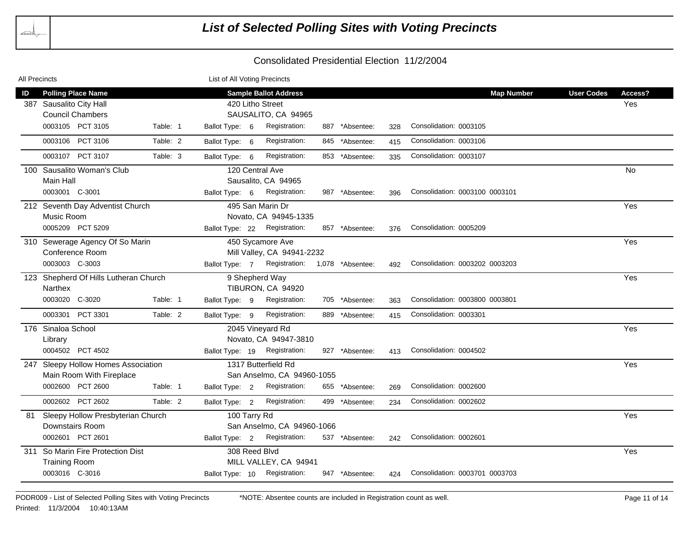| All Precincts |                                       |          | List of All Voting Precincts |                                               |     |                |     |                                |                   |         |
|---------------|---------------------------------------|----------|------------------------------|-----------------------------------------------|-----|----------------|-----|--------------------------------|-------------------|---------|
| ID            | <b>Polling Place Name</b>             |          |                              | <b>Sample Ballot Address</b>                  |     |                |     | <b>Map Number</b>              | <b>User Codes</b> | Access? |
|               | 387 Sausalito City Hall               |          |                              | 420 Litho Street                              |     |                |     |                                |                   | Yes     |
|               | <b>Council Chambers</b>               |          |                              | SAUSALITO, CA 94965                           |     |                |     |                                |                   |         |
|               | 0003105 PCT 3105                      | Table: 1 | Ballot Type: 6               | Registration:                                 |     | 887 *Absentee: | 328 | Consolidation: 0003105         |                   |         |
|               | 0003106 PCT 3106                      | Table: 2 | Ballot Type: 6               | Registration:                                 | 845 | *Absentee:     | 415 | Consolidation: 0003106         |                   |         |
|               | 0003107 PCT 3107                      | Table: 3 | Ballot Type: 6               | Registration:                                 |     | 853 *Absentee: | 335 | Consolidation: 0003107         |                   |         |
|               | 100 Sausalito Woman's Club            |          |                              | 120 Central Ave                               |     |                |     |                                |                   | No.     |
|               | Main Hall                             |          |                              | Sausalito, CA 94965                           |     |                |     |                                |                   |         |
|               | 0003001 C-3001                        |          |                              | Ballot Type: 6 Registration:                  |     | 987 *Absentee: | 396 | Consolidation: 0003100 0003101 |                   |         |
|               | 212 Seventh Day Adventist Church      |          |                              | 495 San Marin Dr                              |     |                |     |                                |                   | Yes     |
|               | Music Room                            |          |                              | Novato, CA 94945-1335                         |     |                |     |                                |                   |         |
|               | 0005209 PCT 5209                      |          |                              | Ballot Type: 22 Registration:                 |     | 857 *Absentee: | 376 | Consolidation: 0005209         |                   |         |
|               | 310 Sewerage Agency Of So Marin       |          |                              | 450 Sycamore Ave                              |     |                |     |                                |                   | Yes     |
|               | Conference Room                       |          |                              | Mill Valley, CA 94941-2232                    |     |                |     |                                |                   |         |
|               | 0003003 C-3003                        |          |                              | Ballot Type: 7 Registration: 1,078 *Absentee: |     |                | 492 | Consolidation: 0003202 0003203 |                   |         |
|               | 123 Shepherd Of Hills Lutheran Church |          |                              | 9 Shepherd Way                                |     |                |     |                                |                   | Yes     |
|               | Narthex                               |          |                              | TIBURON, CA 94920                             |     |                |     |                                |                   |         |
|               | 0003020 C-3020                        | Table: 1 | Ballot Type: 9               | Registration:                                 |     | 705 *Absentee: | 363 | Consolidation: 0003800 0003801 |                   |         |
|               | 0003301 PCT 3301                      | Table: 2 | Ballot Type: 9               | Registration:                                 |     | 889 *Absentee: | 415 | Consolidation: 0003301         |                   |         |
|               | 176 Sinaloa School                    |          |                              | 2045 Vineyard Rd                              |     |                |     |                                |                   | Yes     |
|               | Library                               |          |                              | Novato, CA 94947-3810                         |     |                |     |                                |                   |         |
|               | 0004502 PCT 4502                      |          |                              | Ballot Type: 19 Registration:                 |     | 927 *Absentee: | 413 | Consolidation: 0004502         |                   |         |
|               | 247 Sleepy Hollow Homes Association   |          |                              | 1317 Butterfield Rd                           |     |                |     |                                |                   | Yes     |
|               | Main Room With Fireplace              |          |                              | San Anselmo, CA 94960-1055                    |     |                |     |                                |                   |         |
|               | 0002600 PCT 2600                      | Table: 1 | Ballot Type: 2               | Registration:                                 |     | 655 *Absentee: | 269 | Consolidation: 0002600         |                   |         |
|               | 0002602 PCT 2602                      | Table: 2 | Ballot Type: 2               | Registration:                                 |     | 499 *Absentee: | 234 | Consolidation: 0002602         |                   |         |
| 81            | Sleepy Hollow Presbyterian Church     |          | 100 Tarry Rd                 |                                               |     |                |     |                                |                   | Yes     |
|               | Downstairs Room                       |          |                              | San Anselmo, CA 94960-1066                    |     |                |     |                                |                   |         |
|               | 0002601 PCT 2601                      |          |                              | Ballot Type: 2 Registration:                  |     | 537 *Absentee: | 242 | Consolidation: 0002601         |                   |         |
|               | 311 So Marin Fire Protection Dist     |          | 308 Reed Blvd                |                                               |     |                |     |                                |                   | Yes     |
|               | <b>Training Room</b>                  |          |                              | MILL VALLEY, CA 94941                         |     |                |     |                                |                   |         |
|               | 0003016 C-3016                        |          |                              | Ballot Type: 10 Registration:                 |     | 947 *Absentee: | 424 | Consolidation: 0003701 0003703 |                   |         |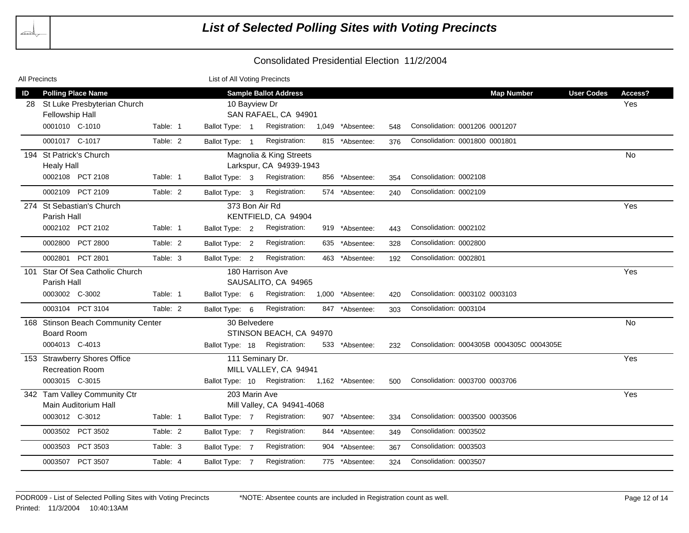| All Precincts |                                                                             |          | List of All Voting Precincts    |                                                                                             |     |                  |     |                                           |                   |                |
|---------------|-----------------------------------------------------------------------------|----------|---------------------------------|---------------------------------------------------------------------------------------------|-----|------------------|-----|-------------------------------------------|-------------------|----------------|
| ID<br>28      | <b>Polling Place Name</b><br>St Luke Presbyterian Church<br>Fellowship Hall |          |                                 | <b>Sample Ballot Address</b><br>10 Bayview Dr<br>SAN RAFAEL, CA 94901                       |     |                  |     | <b>Map Number</b>                         | <b>User Codes</b> | Access?<br>Yes |
|               | 0001010 C-1010                                                              | Table: 1 | Ballot Type: 1                  | Registration:                                                                               |     | 1,049 *Absentee: | 548 | Consolidation: 0001206 0001207            |                   |                |
|               | 0001017 C-1017                                                              | Table: 2 | Ballot Type: 1                  | Registration:                                                                               |     | 815 *Absentee:   | 376 | Consolidation: 0001800 0001801            |                   |                |
| 194           | <b>St Patrick's Church</b><br><b>Healy Hall</b>                             |          |                                 | Magnolia & King Streets<br>Larkspur, CA 94939-1943                                          |     |                  |     |                                           |                   | <b>No</b>      |
|               | 0002108 PCT 2108                                                            | Table: 1 | Ballot Type: 3                  | Registration:                                                                               |     | 856 *Absentee:   | 354 | Consolidation: 0002108                    |                   |                |
|               | 0002109 PCT 2109                                                            | Table: 2 | Ballot Type: 3                  | Registration:                                                                               |     | 574 *Absentee:   | 240 | Consolidation: 0002109                    |                   |                |
|               | 274 St Sebastian's Church<br>Parish Hall                                    |          |                                 | 373 Bon Air Rd<br>KENTFIELD, CA 94904                                                       |     |                  |     |                                           |                   | Yes            |
|               | 0002102 PCT 2102                                                            | Table: 1 | Ballot Type: 2                  | Registration:                                                                               |     | 919 *Absentee:   | 443 | Consolidation: 0002102                    |                   |                |
|               | <b>PCT 2800</b><br>0002800                                                  | Table: 2 | Ballot Type: 2                  | Registration:                                                                               |     | 635 *Absentee:   | 328 | Consolidation: 0002800                    |                   |                |
|               | 0002801 PCT 2801                                                            | Table: 3 | Ballot Type: 2                  | Registration:                                                                               |     | 463 *Absentee:   | 192 | Consolidation: 0002801                    |                   |                |
| 101           | Star Of Sea Catholic Church<br>Parish Hall                                  |          |                                 | 180 Harrison Ave<br>SAUSALITO, CA 94965                                                     |     |                  |     |                                           |                   | Yes            |
|               | 0003002 C-3002                                                              | Table: 1 | Ballot Type: 6                  | Registration:                                                                               |     | 1,000 *Absentee: | 420 | Consolidation: 0003102 0003103            |                   |                |
|               | 0003104 PCT 3104                                                            | Table: 2 | Ballot Type: 6                  | Registration:                                                                               |     | 847 *Absentee:   | 303 | Consolidation: 0003104                    |                   |                |
|               | 168 Stinson Beach Community Center<br><b>Board Room</b><br>0004013 C-4013   |          | 30 Belvedere<br>Ballot Type: 18 | STINSON BEACH, CA 94970<br>Registration:                                                    |     | 533 *Absentee:   | 232 | Consolidation: 0004305B 0004305C 0004305E |                   | <b>No</b>      |
|               | 153 Strawberry Shores Office<br><b>Recreation Room</b><br>0003015 C-3015    |          |                                 | 111 Seminary Dr.<br>MILL VALLEY, CA 94941<br>Ballot Type: 10 Registration: 1,162 *Absentee: |     |                  | 500 | Consolidation: 0003700 0003706            |                   | Yes            |
|               | 342 Tam Valley Community Ctr<br>Main Auditorium Hall                        |          |                                 | 203 Marin Ave<br>Mill Valley, CA 94941-4068                                                 |     |                  |     |                                           |                   | Yes            |
|               | 0003012 C-3012                                                              | Table: 1 | Ballot Type: 7                  | Registration:                                                                               |     | 907 *Absentee:   | 334 | Consolidation: 0003500 0003506            |                   |                |
|               | PCT 3502<br>0003502                                                         | Table: 2 | Ballot Type: 7                  | Registration:                                                                               |     | 844 *Absentee:   | 349 | Consolidation: 0003502                    |                   |                |
|               | PCT 3503<br>0003503                                                         | Table: 3 | Ballot Type: 7                  | Registration:                                                                               | 904 | *Absentee:       | 367 | Consolidation: 0003503                    |                   |                |
|               | 0003507 PCT 3507                                                            | Table: 4 | Ballot Type: 7                  | Registration:                                                                               |     | 775 *Absentee:   | 324 | Consolidation: 0003507                    |                   |                |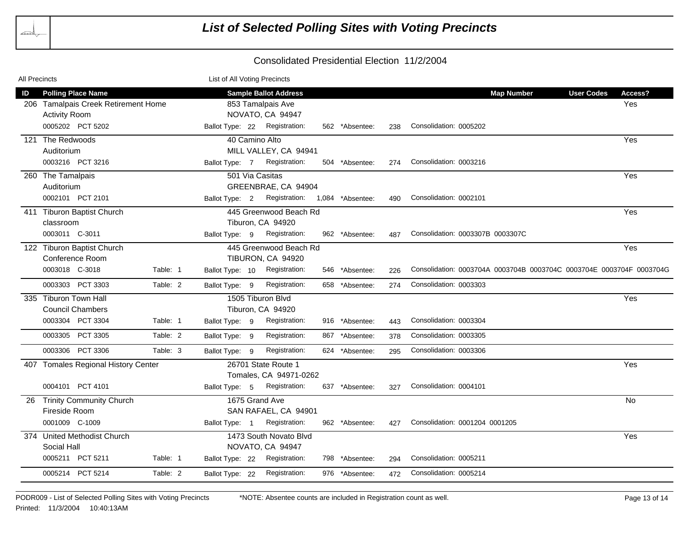| All Precincts |                                     |          | List of All Voting Precincts |                     |                                |  |                |     |                                                                      |                   |           |
|---------------|-------------------------------------|----------|------------------------------|---------------------|--------------------------------|--|----------------|-----|----------------------------------------------------------------------|-------------------|-----------|
| ID            | <b>Polling Place Name</b>           |          |                              |                     | <b>Sample Ballot Address</b>   |  |                |     | <b>Map Number</b>                                                    | <b>User Codes</b> | Access?   |
|               | 206 Tamalpais Creek Retirement Home |          |                              | 853 Tamalpais Ave   |                                |  |                | Yes |                                                                      |                   |           |
|               | <b>Activity Room</b>                |          |                              |                     | NOVATO, CA 94947               |  |                |     |                                                                      |                   |           |
|               | 0005202 PCT 5202                    |          |                              |                     | Ballot Type: 22 Registration:  |  | 562 *Absentee: | 238 | Consolidation: 0005202                                               |                   |           |
|               | 121 The Redwoods                    |          |                              |                     | 40 Camino Alto                 |  |                |     |                                                                      |                   | Yes       |
|               | Auditorium                          |          |                              |                     | MILL VALLEY, CA 94941          |  |                |     |                                                                      |                   |           |
|               | 0003216 PCT 3216                    |          | Ballot Type: 7               |                     | Registration:                  |  | 504 *Absentee: | 274 | Consolidation: 0003216                                               |                   |           |
|               | 260 The Tamalpais                   |          |                              |                     | 501 Via Casitas                |  |                |     |                                                                      |                   | Yes       |
|               | Auditorium                          |          |                              |                     | GREENBRAE, CA 94904            |  |                |     |                                                                      |                   |           |
|               | 0002101 PCT 2101                    |          | Ballot Type: 2               |                     | Registration: 1,084 *Absentee: |  |                | 490 | Consolidation: 0002101                                               |                   |           |
|               | 411 Tiburon Baptist Church          |          |                              |                     | 445 Greenwood Beach Rd         |  |                |     |                                                                      |                   | Yes       |
|               | classroom                           |          |                              |                     | Tiburon, CA 94920              |  |                |     |                                                                      |                   |           |
|               | 0003011 C-3011                      |          | Ballot Type: 9               |                     | Registration:                  |  | 962 *Absentee: | 487 | Consolidation: 0003307B 0003307C                                     |                   |           |
|               | 122 Tiburon Baptist Church          |          |                              |                     | 445 Greenwood Beach Rd         |  |                |     |                                                                      |                   | Yes       |
|               | Conference Room                     |          |                              |                     | TIBURON, CA 94920              |  |                |     |                                                                      |                   |           |
|               | 0003018 C-3018                      | Table: 1 | Ballot Type: 10              |                     | Registration:                  |  | 546 *Absentee: | 226 | Consolidation: 0003704A 0003704B 0003704C 0003704E 0003704F 0003704G |                   |           |
|               | 0003303 PCT 3303                    | Table: 2 | Ballot Type: 9               |                     | Registration:                  |  | 658 *Absentee: | 274 | Consolidation: 0003303                                               |                   |           |
|               | 335 Tiburon Town Hall               |          |                              |                     | 1505 Tiburon Blvd              |  |                |     |                                                                      |                   | Yes       |
|               | <b>Council Chambers</b>             |          |                              | Tiburon, CA 94920   |                                |  |                |     |                                                                      |                   |           |
|               | 0003304 PCT 3304                    | Table: 1 | Ballot Type: 9               |                     | Registration:                  |  | 916 *Absentee: | 443 | Consolidation: 0003304                                               |                   |           |
|               | PCT 3305<br>0003305                 | Table: 2 | Ballot Type: 9               |                     | Registration:                  |  | 867 *Absentee: | 378 | Consolidation: 0003305                                               |                   |           |
|               | 0003306 PCT 3306                    | Table: 3 | Ballot Type: 9               |                     | Registration:                  |  | 624 *Absentee: | 295 | Consolidation: 0003306                                               |                   |           |
|               | 407 Tomales Regional History Center |          |                              | 26701 State Route 1 |                                |  |                |     | Yes                                                                  |                   |           |
|               |                                     |          |                              |                     | Tomales, CA 94971-0262         |  |                |     |                                                                      |                   |           |
|               | 0004101 PCT 4101                    |          | Ballot Type: 5               |                     | Registration:                  |  | 637 *Absentee: | 327 | Consolidation: 0004101                                               |                   |           |
| 26            | <b>Trinity Community Church</b>     |          |                              |                     | 1675 Grand Ave                 |  |                |     |                                                                      |                   | <b>No</b> |
|               | Fireside Room                       |          |                              |                     | SAN RAFAEL, CA 94901           |  |                |     |                                                                      |                   |           |
|               | 0001009 C-1009                      |          | Ballot Type: 1               |                     | Registration:                  |  | 962 *Absentee: | 427 | Consolidation: 0001204 0001205                                       |                   |           |
|               | 374 United Methodist Church         |          |                              |                     | 1473 South Novato Blvd         |  |                |     |                                                                      |                   | Yes       |
|               | Social Hall                         |          | NOVATO, CA 94947             |                     |                                |  |                |     |                                                                      |                   |           |
|               | 0005211 PCT 5211                    | Table: 1 | Ballot Type: 22              |                     | Registration:                  |  | 798 *Absentee: | 294 | Consolidation: 0005211                                               |                   |           |
|               | 0005214 PCT 5214                    | Table: 2 | Ballot Type: 22              |                     | Registration:                  |  | 976 *Absentee: | 472 | Consolidation: 0005214                                               |                   |           |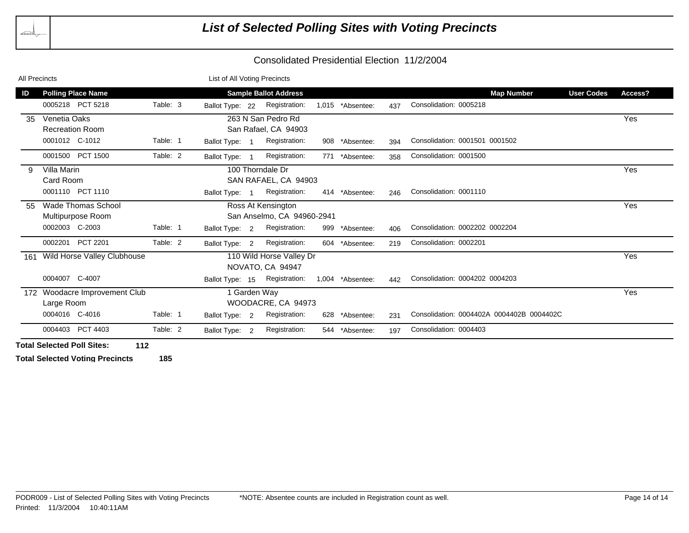| <b>All Precincts</b> |                                                |                            | List of All Voting Precincts |                 |                    |                              |     |                  |     |                                           |                   |         |
|----------------------|------------------------------------------------|----------------------------|------------------------------|-----------------|--------------------|------------------------------|-----|------------------|-----|-------------------------------------------|-------------------|---------|
| ID                   | <b>Polling Place Name</b>                      |                            |                              |                 |                    | <b>Sample Ballot Address</b> |     |                  |     | <b>Map Number</b>                         | <b>User Codes</b> | Access? |
|                      | 0005218 PCT 5218                               | Table: 3                   |                              | Ballot Type: 22 |                    | Registration:                |     | 1,015 *Absentee: | 437 | Consolidation: 0005218                    |                   |         |
| 35                   | Venetia Oaks                                   |                            |                              |                 |                    | 263 N San Pedro Rd           |     |                  |     |                                           |                   | Yes     |
|                      | San Rafael, CA 94903<br><b>Recreation Room</b> |                            |                              |                 |                    |                              |     |                  |     |                                           |                   |         |
|                      | 0001012 C-1012                                 | Table: 1                   |                              | Ballot Type: 1  |                    | Registration:                |     | 908 *Absentee:   | 394 | Consolidation: 0001501 0001502            |                   |         |
|                      | 0001500 PCT 1500                               | Table: 2                   |                              | Ballot Type: 1  |                    | Registration:                |     | 771 *Absentee:   | 358 | Consolidation: 0001500                    |                   |         |
|                      | 100 Thorndale Dr<br>Villa Marin                |                            |                              |                 |                    |                              |     |                  |     |                                           |                   | Yes     |
|                      | SAN RAFAEL, CA 94903<br>Card Room              |                            |                              |                 |                    |                              |     |                  |     |                                           |                   |         |
|                      | 0001110 PCT 1110                               |                            |                              | Ballot Type: 1  |                    | Registration:                |     | 414 *Absentee:   | 246 | Consolidation: 0001110                    |                   |         |
| 55                   | Wade Thomas School<br>Ross At Kensington       |                            |                              |                 |                    |                              |     |                  |     |                                           |                   | Yes     |
|                      | Multipurpose Room                              | San Anselmo, CA 94960-2941 |                              |                 |                    |                              |     |                  |     |                                           |                   |         |
|                      | 0002003 C-2003                                 | Table: 1                   |                              | Ballot Type: 2  |                    | Registration:                | 999 | *Absentee:       | 406 | Consolidation: 0002202 0002204            |                   |         |
|                      | PCT 2201<br>0002201                            | Table: 2                   |                              | Ballot Type: 2  |                    | Registration:                | 604 | *Absentee:       | 219 | Consolidation: 0002201                    |                   |         |
| 161                  | Wild Horse Valley Clubhouse                    | 110 Wild Horse Valley Dr   |                              |                 |                    |                              |     |                  |     |                                           | Yes               |         |
| NOVATO, CA 94947     |                                                |                            |                              |                 |                    |                              |     |                  |     |                                           |                   |         |
|                      | 0004007 C-4007                                 |                            |                              | Ballot Type: 15 |                    | Registration:                |     | 1,004 *Absentee: | 442 | Consolidation: 0004202 0004203            |                   |         |
|                      | 172 Woodacre Improvement Club                  |                            |                              |                 | 1 Garden Way       |                              |     |                  |     |                                           | Yes               |         |
|                      | Large Room                                     |                            |                              |                 | WOODACRE, CA 94973 |                              |     |                  |     |                                           |                   |         |
|                      | 0004016 C-4016                                 | Table: 1                   |                              | Ballot Type: 2  |                    | Registration:                | 628 | *Absentee:       | 231 | Consolidation: 0004402A 0004402B 0004402C |                   |         |
|                      | PCT 4403<br>0004403                            | Table: 2                   |                              | Ballot Type: 2  |                    | Registration:                | 544 | *Absentee:       | 197 | Consolidation: 0004403                    |                   |         |

**Total Selected Poll Sites: 112**

**Total Selected Voting Precincts 185**